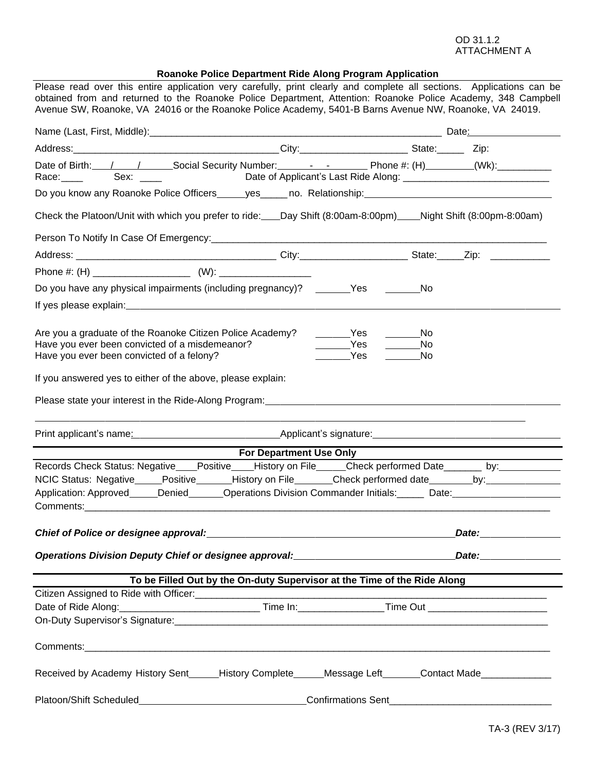# OD 31.1.2 ATTACHMENT A

## **Roanoke Police Department Ride Along Program Application**

Please read over this entire application very carefully, print clearly and complete all sections. Applications can be obtained from and returned to the Roanoke Police Department, Attention: Roanoke Police Academy, 348 Campbell Avenue SW, Roanoke, VA 24016 or the Roanoke Police Academy, 5401-B Barns Avenue NW, Roanoke, VA 24019.

|                                                        | Address: Zip: Zip:                                                                                                                                                                                                          |                                          |                                                          |                    |  |
|--------------------------------------------------------|-----------------------------------------------------------------------------------------------------------------------------------------------------------------------------------------------------------------------------|------------------------------------------|----------------------------------------------------------|--------------------|--|
|                                                        | Date of Birth: 1 1 Social Security Number: 1 - 1 Phone #: (H) _______(Wk): _________                                                                                                                                        |                                          |                                                          |                    |  |
|                                                        |                                                                                                                                                                                                                             |                                          |                                                          |                    |  |
|                                                        | Check the Platoon/Unit with which you prefer to ride: ___Day Shift (8:00am-8:00pm)____Night Shift (8:00pm-8:00am)                                                                                                           |                                          |                                                          |                    |  |
|                                                        |                                                                                                                                                                                                                             |                                          |                                                          |                    |  |
|                                                        |                                                                                                                                                                                                                             |                                          |                                                          |                    |  |
|                                                        |                                                                                                                                                                                                                             |                                          |                                                          |                    |  |
|                                                        | Do you have any physical impairments (including pregnancy)? ______Yes ______No                                                                                                                                              |                                          |                                                          |                    |  |
|                                                        |                                                                                                                                                                                                                             |                                          |                                                          |                    |  |
| Have you ever been convicted of a felony?              | Are you a graduate of the Roanoke Citizen Police Academy?<br>Have you ever been convicted of a misdemeanor?                                                                                                                 | _______Yes<br>_______Yes<br>_________Yes | $\rule{1em}{0.15mm}$ No<br>$\rule{1em}{0.15mm}$ No<br>No |                    |  |
|                                                        | If you answered yes to either of the above, please explain:                                                                                                                                                                 |                                          |                                                          |                    |  |
|                                                        |                                                                                                                                                                                                                             |                                          |                                                          |                    |  |
|                                                        |                                                                                                                                                                                                                             |                                          |                                                          |                    |  |
|                                                        |                                                                                                                                                                                                                             | <b>For Department Use Only</b>           |                                                          |                    |  |
|                                                        | Records Check Status: Negative____Positive____History on File_____Check performed Date_______ by:____________<br>NCIC Status: Negative_____Positive_______History on File_______Check performed date________by:____________ |                                          |                                                          |                    |  |
|                                                        | Application: Approved______Denied_______Operations Division Commander Initials:______ Date:__________________                                                                                                               |                                          |                                                          |                    |  |
|                                                        |                                                                                                                                                                                                                             |                                          |                                                          | Date: <b>Date:</b> |  |
| Operations Division Deputy Chief or designee approval: |                                                                                                                                                                                                                             |                                          |                                                          | Date:              |  |
|                                                        | To be Filled Out by the On-duty Supervisor at the Time of the Ride Along                                                                                                                                                    |                                          |                                                          |                    |  |
|                                                        |                                                                                                                                                                                                                             |                                          |                                                          |                    |  |
|                                                        |                                                                                                                                                                                                                             |                                          |                                                          |                    |  |
|                                                        |                                                                                                                                                                                                                             |                                          |                                                          |                    |  |
|                                                        |                                                                                                                                                                                                                             |                                          |                                                          |                    |  |
|                                                        | Received by Academy History Sent______History Complete______Message Left_______Contact Made______________                                                                                                                   |                                          |                                                          |                    |  |
| Platoon/Shift Scheduled_                               |                                                                                                                                                                                                                             | Confirmations Sent                       |                                                          |                    |  |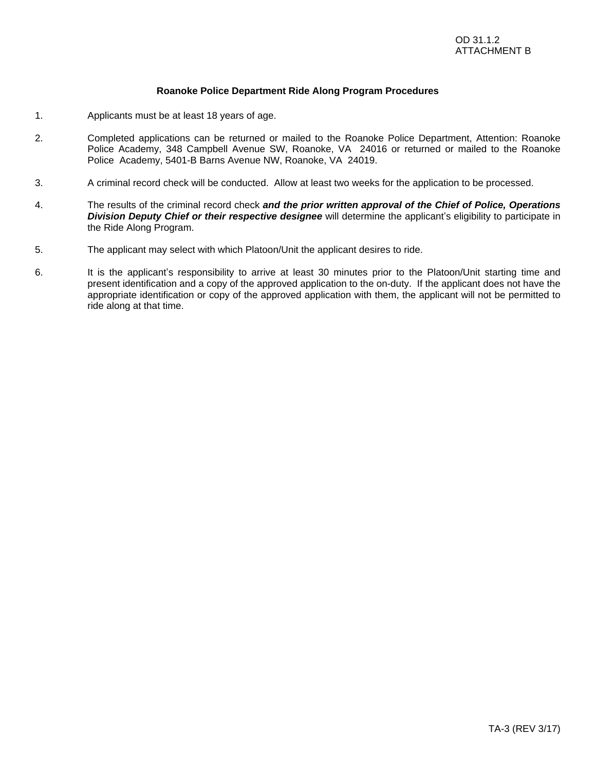### **Roanoke Police Department Ride Along Program Procedures**

- 1. Applicants must be at least 18 years of age.
- 2. Completed applications can be returned or mailed to the Roanoke Police Department, Attention: Roanoke Police Academy, 348 Campbell Avenue SW, Roanoke, VA 24016 or returned or mailed to the Roanoke Police Academy, 5401-B Barns Avenue NW, Roanoke, VA 24019.
- 3. A criminal record check will be conducted. Allow at least two weeks for the application to be processed.
- 4. The results of the criminal record check *and the prior written approval of the Chief of Police, Operations Division Deputy Chief or their respective designee* will determine the applicant's eligibility to participate in the Ride Along Program.
- 5. The applicant may select with which Platoon/Unit the applicant desires to ride.
- 6. It is the applicant's responsibility to arrive at least 30 minutes prior to the Platoon/Unit starting time and present identification and a copy of the approved application to the on-duty. If the applicant does not have the appropriate identification or copy of the approved application with them, the applicant will not be permitted to ride along at that time.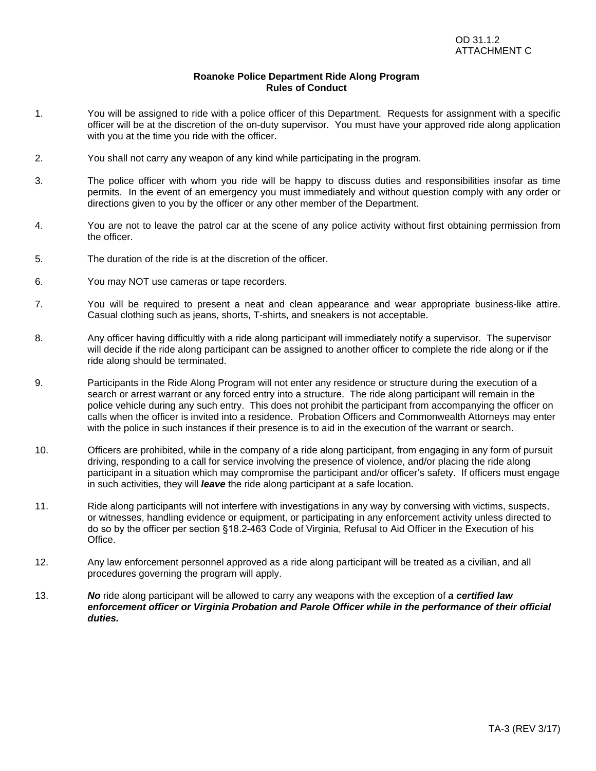### **Roanoke Police Department Ride Along Program Rules of Conduct**

- 1. You will be assigned to ride with a police officer of this Department. Requests for assignment with a specific officer will be at the discretion of the on-duty supervisor. You must have your approved ride along application with you at the time you ride with the officer.
- 2. You shall not carry any weapon of any kind while participating in the program.
- 3. The police officer with whom you ride will be happy to discuss duties and responsibilities insofar as time permits. In the event of an emergency you must immediately and without question comply with any order or directions given to you by the officer or any other member of the Department.
- 4. You are not to leave the patrol car at the scene of any police activity without first obtaining permission from the officer.
- 5. The duration of the ride is at the discretion of the officer.
- 6. You may NOT use cameras or tape recorders.
- 7. You will be required to present a neat and clean appearance and wear appropriate business-like attire. Casual clothing such as jeans, shorts, T-shirts, and sneakers is not acceptable.
- 8. Any officer having difficultly with a ride along participant will immediately notify a supervisor. The supervisor will decide if the ride along participant can be assigned to another officer to complete the ride along or if the ride along should be terminated.
- 9. Participants in the Ride Along Program will not enter any residence or structure during the execution of a search or arrest warrant or any forced entry into a structure. The ride along participant will remain in the police vehicle during any such entry. This does not prohibit the participant from accompanying the officer on calls when the officer is invited into a residence. Probation Officers and Commonwealth Attorneys may enter with the police in such instances if their presence is to aid in the execution of the warrant or search.
- 10. Officers are prohibited, while in the company of a ride along participant, from engaging in any form of pursuit driving, responding to a call for service involving the presence of violence, and/or placing the ride along participant in a situation which may compromise the participant and/or officer's safety. If officers must engage in such activities, they will *leave* the ride along participant at a safe location.
- 11. Ride along participants will not interfere with investigations in any way by conversing with victims, suspects, or witnesses, handling evidence or equipment, or participating in any enforcement activity unless directed to do so by the officer per section §18.2-463 Code of Virginia, Refusal to Aid Officer in the Execution of his Office.
- 12. Any law enforcement personnel approved as a ride along participant will be treated as a civilian, and all procedures governing the program will apply.
- 13. *No* ride along participant will be allowed to carry any weapons with the exception of *a certified law enforcement officer or Virginia Probation and Parole Officer while in the performance of their official duties.*